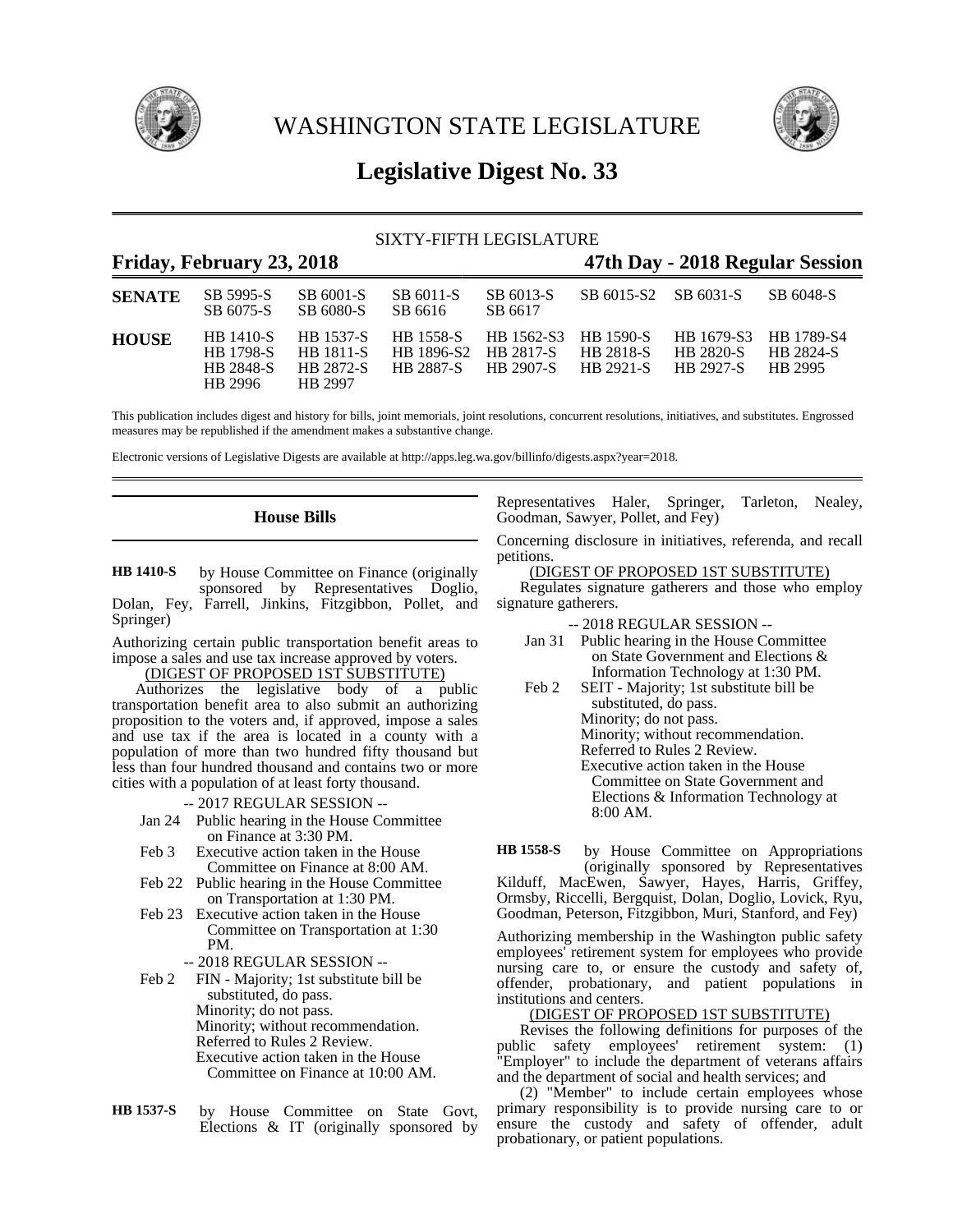

WASHINGTON STATE LEGISLATURE



# **Legislative Digest No. 33**

## SIXTY-FIFTH LEGISLATURE

## **Friday, February 23, 2018 47th Day - 2018 Regular Session**

| <b>SENATE</b> | SB 5995-S<br>SB 6075-S                                              | SB 6001-S<br>SB 6080-S                                       | SB 6011-S<br>SB 6616              | SB 6013-S<br>SB 6617                        | SB 6015-S2 SB 6031-S          |                                                               | SB 6048-S                   |
|---------------|---------------------------------------------------------------------|--------------------------------------------------------------|-----------------------------------|---------------------------------------------|-------------------------------|---------------------------------------------------------------|-----------------------------|
| <b>HOUSE</b>  | <b>HR</b> 1410-S<br><b>HB</b> 1798-S<br><b>HB 2848-S</b><br>HR 2996 | HB 1537-S<br><b>HR</b> 1811-S<br><b>HR 2872-S</b><br>HR 2997 | HB 1896-S2 HB 2817-S<br>HB 2887-S | HB 1558-S HB 1562-S3 HB 1590-S<br>HB 2907-S | <b>HB 2818-S</b><br>HB 2921-S | HB 1679-S3 HB 1789-S4<br><b>HR 2820-S</b><br><b>HR 2927-S</b> | <b>HR 2824-S</b><br>HR 2995 |

This publication includes digest and history for bills, joint memorials, joint resolutions, concurrent resolutions, initiatives, and substitutes. Engrossed measures may be republished if the amendment makes a substantive change.

Electronic versions of Legislative Digests are available at http://apps.leg.wa.gov/billinfo/digests.aspx?year=2018.

## **House Bills**

by House Committee on Finance (originally sponsored by Representatives Doglio, Dolan, Fey, Farrell, Jinkins, Fitzgibbon, Pollet, and Springer) **HB 1410-S**

Authorizing certain public transportation benefit areas to impose a sales and use tax increase approved by voters. (DIGEST OF PROPOSED 1ST SUBSTITUTE)

Authorizes the legislative body of a public transportation benefit area to also submit an authorizing proposition to the voters and, if approved, impose a sales and use tax if the area is located in a county with a population of more than two hundred fifty thousand but less than four hundred thousand and contains two or more cities with a population of at least forty thousand.

-- 2017 REGULAR SESSION --

- Jan 24 Public hearing in the House Committee on Finance at 3:30 PM.
- Feb 3 Executive action taken in the House Committee on Finance at 8:00 AM.
- Feb 22 Public hearing in the House Committee on Transportation at 1:30 PM.
- Feb 23 Executive action taken in the House Committee on Transportation at 1:30 PM.
	- -- 2018 REGULAR SESSION --
- Feb 2 FIN Majority; 1st substitute bill be substituted, do pass. Minority; do not pass. Minority; without recommendation. Referred to Rules 2 Review. Executive action taken in the House Committee on Finance at 10:00 AM.
- by House Committee on State Govt, Elections & IT (originally sponsored by **HB 1537-S**

Representatives Haler, Springer, Tarleton, Nealey, Goodman, Sawyer, Pollet, and Fey)

Concerning disclosure in initiatives, referenda, and recall petitions.

(DIGEST OF PROPOSED 1ST SUBSTITUTE)

Regulates signature gatherers and those who employ signature gatherers.

- -- 2018 REGULAR SESSION --
- Jan 31 Public hearing in the House Committee on State Government and Elections & Information Technology at 1:30 PM.
- Feb 2 SEIT Majority; 1st substitute bill be substituted, do pass. Minority; do not pass. Minority; without recommendation. Referred to Rules 2 Review. Executive action taken in the House Committee on State Government and Elections & Information Technology at 8:00 AM.

by House Committee on Appropriations (originally sponsored by Representatives Kilduff, MacEwen, Sawyer, Hayes, Harris, Griffey, Ormsby, Riccelli, Bergquist, Dolan, Doglio, Lovick, Ryu, Goodman, Peterson, Fitzgibbon, Muri, Stanford, and Fey) **HB 1558-S**

Authorizing membership in the Washington public safety employees' retirement system for employees who provide nursing care to, or ensure the custody and safety of, offender, probationary, and patient populations in institutions and centers.

## (DIGEST OF PROPOSED 1ST SUBSTITUTE)

Revises the following definitions for purposes of the public safety employees' retirement system: (1) "Employer" to include the department of veterans affairs and the department of social and health services; and

(2) "Member" to include certain employees whose primary responsibility is to provide nursing care to or ensure the custody and safety of offender, adult probationary, or patient populations.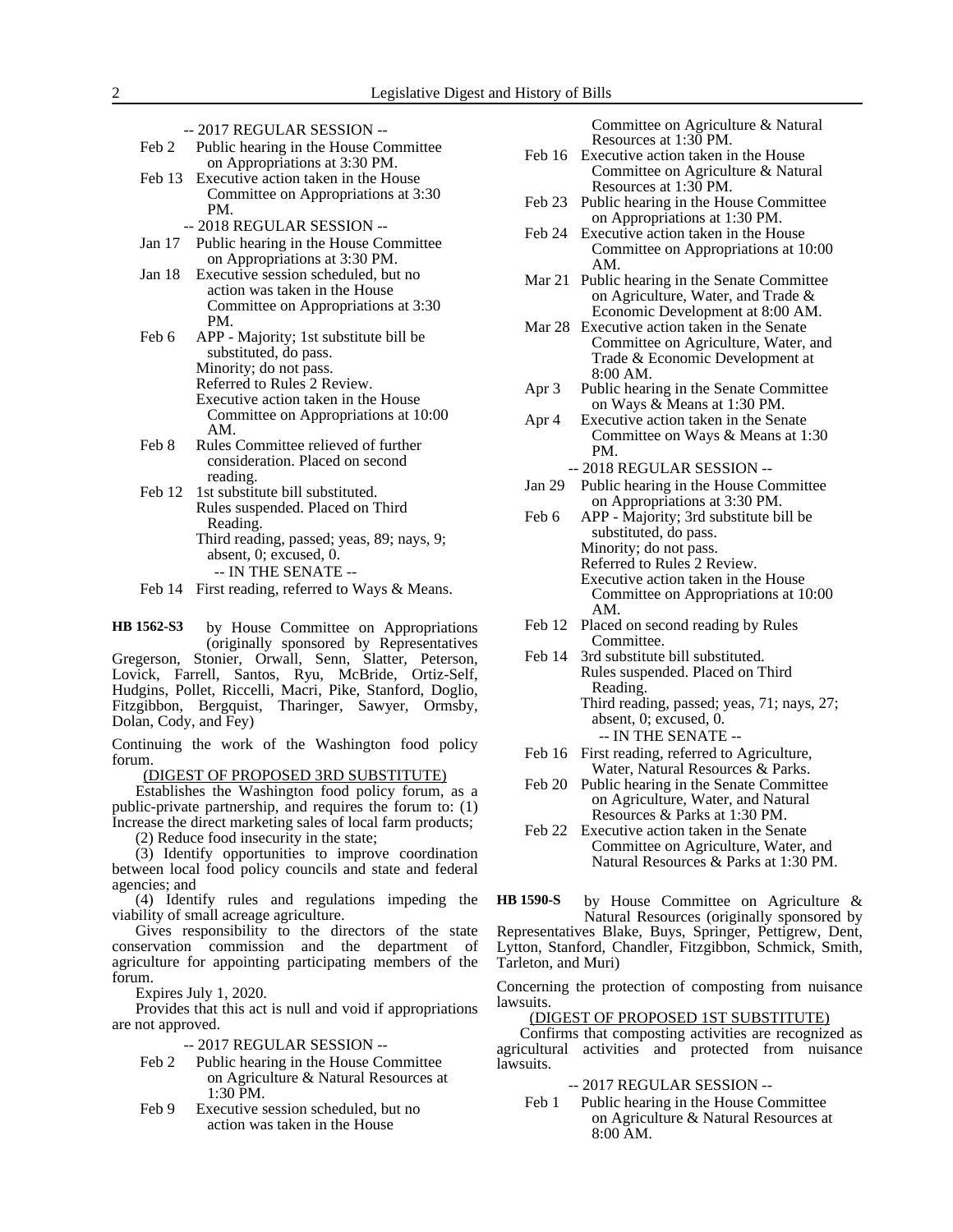- -- 2017 REGULAR SESSION --
- Feb 2 Public hearing in the House Committee on Appropriations at 3:30 PM. Feb 13 Executive action taken in the House
- Committee on Appropriations at 3:30 PM.
	- -- 2018 REGULAR SESSION --
- Jan 17 Public hearing in the House Committee on Appropriations at 3:30 PM.
- Jan 18 Executive session scheduled, but no action was taken in the House Committee on Appropriations at 3:30 PM.
- Feb 6 APP Majority; 1st substitute bill be substituted, do pass. Minority; do not pass. Referred to Rules 2 Review. Executive action taken in the House Committee on Appropriations at 10:00 AM.
- Feb 8 Rules Committee relieved of further consideration. Placed on second reading.
- Feb 12 1st substitute bill substituted. Rules suspended. Placed on Third Reading. Third reading, passed; yeas, 89; nays, 9; absent, 0; excused, 0. -- IN THE SENATE --
- Feb 14 First reading, referred to Ways & Means.

by House Committee on Appropriations (originally sponsored by Representatives Gregerson, Stonier, Orwall, Senn, Slatter, Peterson, Lovick, Farrell, Santos, Ryu, McBride, Ortiz-Self, **HB 1562-S3**

Hudgins, Pollet, Riccelli, Macri, Pike, Stanford, Doglio, Fitzgibbon, Bergquist, Tharinger, Sawyer, Ormsby, Dolan, Cody, and Fey)

Continuing the work of the Washington food policy forum.

(DIGEST OF PROPOSED 3RD SUBSTITUTE)

Establishes the Washington food policy forum, as a public-private partnership, and requires the forum to: (1) Increase the direct marketing sales of local farm products;

(2) Reduce food insecurity in the state;

(3) Identify opportunities to improve coordination between local food policy councils and state and federal agencies; and

(4) Identify rules and regulations impeding the viability of small acreage agriculture.

Gives responsibility to the directors of the state conservation commission and the department of agriculture for appointing participating members of the forum.

Expires July 1, 2020.

Provides that this act is null and void if appropriations are not approved.

- -- 2017 REGULAR SESSION --
- Feb 2 Public hearing in the House Committee on Agriculture & Natural Resources at 1:30 PM.
- Feb 9 Executive session scheduled, but no action was taken in the House

Committee on Agriculture & Natural Resources at 1:30 PM.

- Feb 16 Executive action taken in the House Committee on Agriculture & Natural Resources at 1:30 PM.
- Feb 23 Public hearing in the House Committee on Appropriations at 1:30 PM.
- Feb 24 Executive action taken in the House Committee on Appropriations at 10:00 AM.
- Mar 21 Public hearing in the Senate Committee on Agriculture, Water, and Trade & Economic Development at 8:00 AM.
- Mar 28 Executive action taken in the Senate Committee on Agriculture, Water, and Trade & Economic Development at 8:00 AM.
- Apr 3 Public hearing in the Senate Committee on Ways & Means at 1:30 PM.
- Apr 4 Executive action taken in the Senate Committee on Ways & Means at 1:30 PM.

-- 2018 REGULAR SESSION --

- Jan 29 Public hearing in the House Committee on Appropriations at 3:30 PM.
- Feb 6 APP Majority; 3rd substitute bill be substituted, do pass. Minority; do not pass. Referred to Rules 2 Review. Executive action taken in the House Committee on Appropriations at 10:00 AM.
- Feb 12 Placed on second reading by Rules Committee.
- Feb 14 3rd substitute bill substituted. Rules suspended. Placed on Third Reading. Third reading, passed; yeas, 71; nays, 27; absent, 0; excused, 0. -- IN THE SENATE --
- Feb 16 First reading, referred to Agriculture, Water, Natural Resources & Parks.
- Feb 20 Public hearing in the Senate Committee on Agriculture, Water, and Natural Resources & Parks at 1:30 PM.
- Feb 22 Executive action taken in the Senate Committee on Agriculture, Water, and Natural Resources & Parks at 1:30 PM.

by House Committee on Agriculture & Natural Resources (originally sponsored by Representatives Blake, Buys, Springer, Pettigrew, Dent, Lytton, Stanford, Chandler, Fitzgibbon, Schmick, Smith, Tarleton, and Muri) **HB 1590-S**

Concerning the protection of composting from nuisance lawsuits.

### (DIGEST OF PROPOSED 1ST SUBSTITUTE)

Confirms that composting activities are recognized as agricultural activities and protected from nuisance lawsuits.

-- 2017 REGULAR SESSION --

Feb 1 Public hearing in the House Committee on Agriculture & Natural Resources at 8:00 AM.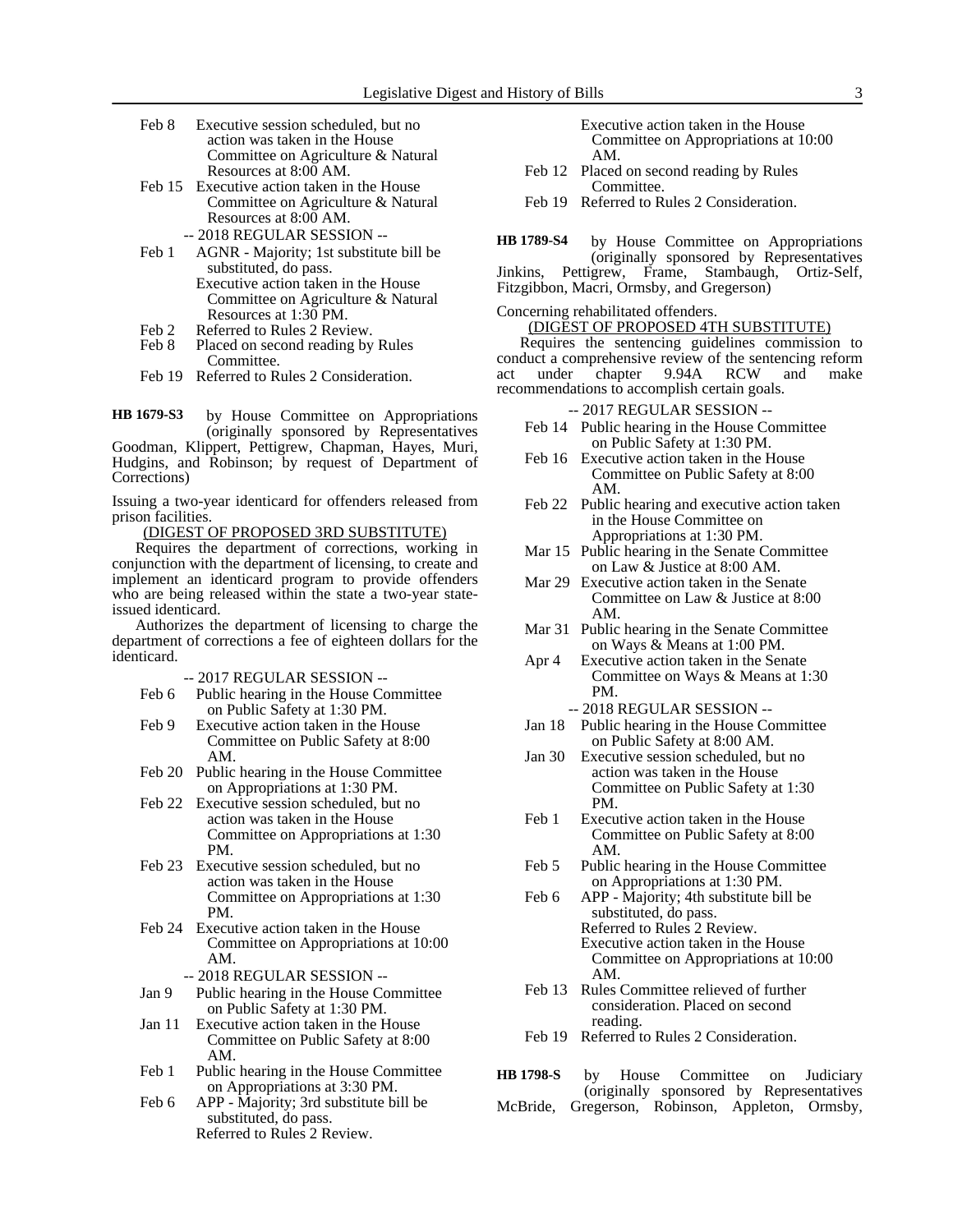- Feb 8 Executive session scheduled, but no action was taken in the House Committee on Agriculture & Natural Resources at 8:00 AM.
- Feb 15 Executive action taken in the House Committee on Agriculture & Natural Resources at 8:00 AM. -- 2018 REGULAR SESSION --
- Feb 1 AGNR Majority; 1st substitute bill be substituted, do pass. Executive action taken in the House Committee on Agriculture & Natural
- Resources at 1:30 PM. Feb 2 Referred to Rules 2 Review.
- 
- Feb 8 Placed on second reading by Rules Committee.
- Feb 19 Referred to Rules 2 Consideration.

by House Committee on Appropriations (originally sponsored by Representatives **HB 1679-S3**

Goodman, Klippert, Pettigrew, Chapman, Hayes, Muri, Hudgins, and Robinson; by request of Department of Corrections)

Issuing a two-year identicard for offenders released from prison facilities.

(DIGEST OF PROPOSED 3RD SUBSTITUTE)

Requires the department of corrections, working in conjunction with the department of licensing, to create and implement an identicard program to provide offenders who are being released within the state a two-year stateissued identicard.

Authorizes the department of licensing to charge the department of corrections a fee of eighteen dollars for the identicard.

-- 2017 REGULAR SESSION --

- Feb 6 Public hearing in the House Committee on Public Safety at 1:30 PM.
- Feb 9 Executive action taken in the House Committee on Public Safety at 8:00 AM.
- Feb 20 Public hearing in the House Committee on Appropriations at 1:30 PM.
- Feb 22 Executive session scheduled, but no action was taken in the House Committee on Appropriations at 1:30 PM.
- Feb 23 Executive session scheduled, but no action was taken in the House Committee on Appropriations at 1:30 PM.
- Feb 24 Executive action taken in the House Committee on Appropriations at 10:00 AM.
	- -- 2018 REGULAR SESSION --
- Jan 9 Public hearing in the House Committee on Public Safety at 1:30 PM.
- Jan 11 Executive action taken in the House Committee on Public Safety at 8:00 AM.
- Feb 1 Public hearing in the House Committee on Appropriations at 3:30 PM.
- Feb 6 APP Majority; 3rd substitute bill be substituted, do pass. Referred to Rules 2 Review.

| Executive action taken in the House  |
|--------------------------------------|
| Committee on Appropriations at 10:00 |
| AM.                                  |

- Feb 12 Placed on second reading by Rules Committee.
- Feb 19 Referred to Rules 2 Consideration.

by House Committee on Appropriations **HB 1789-S4**

(originally sponsored by Representatives grew, Frame, Stambaugh, Ortiz-Self, Jinkins, Pettigrew, Frame, Fitzgibbon, Macri, Ormsby, and Gregerson)

Concerning rehabilitated offenders.

(DIGEST OF PROPOSED 4TH SUBSTITUTE)

Requires the sentencing guidelines commission to conduct a comprehensive review of the sentencing reform act under chapter 9.94A RCW and make recommendations to accomplish certain goals.

-- 2017 REGULAR SESSION --

- Feb 14 Public hearing in the House Committee on Public Safety at 1:30 PM.
- Feb 16 Executive action taken in the House Committee on Public Safety at 8:00 AM.
- Feb 22 Public hearing and executive action taken in the House Committee on Appropriations at 1:30 PM.
- Mar 15 Public hearing in the Senate Committee on Law & Justice at 8:00 AM.
- Mar 29 Executive action taken in the Senate Committee on Law & Justice at 8:00 AM.
- Mar 31 Public hearing in the Senate Committee on Ways & Means at 1:00 PM.
- Apr 4 Executive action taken in the Senate Committee on Ways & Means at 1:30 PM.

- Jan 18 Public hearing in the House Committee on Public Safety at 8:00 AM.
- Jan 30 Executive session scheduled, but no action was taken in the House Committee on Public Safety at 1:30 PM.
- Feb 1 Executive action taken in the House Committee on Public Safety at 8:00 AM.
- Feb 5 Public hearing in the House Committee on Appropriations at 1:30 PM.
- Feb 6 APP Majority; 4th substitute bill be substituted, do pass. Referred to Rules 2 Review. Executive action taken in the House Committee on Appropriations at 10:00 AM.
- Feb 13 Rules Committee relieved of further consideration. Placed on second reading.
- Feb 19 Referred to Rules 2 Consideration.
- by House Committee on Judiciary (originally sponsored by Representatives McBride, Gregerson, Robinson, Appleton, Ormsby, **HB 1798-S**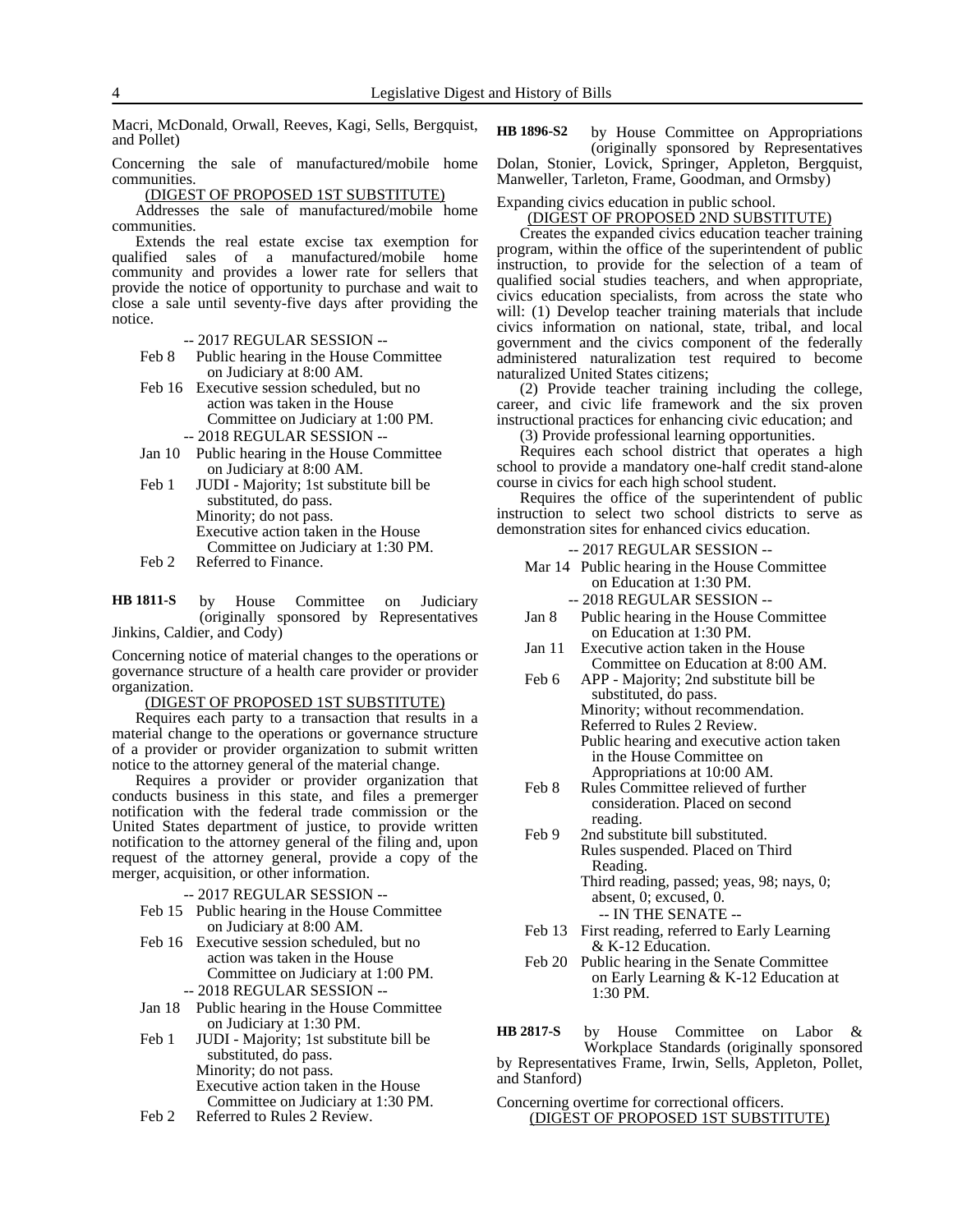Macri, McDonald, Orwall, Reeves, Kagi, Sells, Bergquist, and Pollet)

Concerning the sale of manufactured/mobile home communities.

(DIGEST OF PROPOSED 1ST SUBSTITUTE)

Addresses the sale of manufactured/mobile home communities.

Extends the real estate excise tax exemption for qualified sales of a manufactured/mobile home community and provides a lower rate for sellers that provide the notice of opportunity to purchase and wait to close a sale until seventy-five days after providing the notice.

-- 2017 REGULAR SESSION --

Feb 8 Public hearing in the House Committee on Judiciary at 8:00 AM.

- Feb 16 Executive session scheduled, but no action was taken in the House Committee on Judiciary at 1:00 PM. -- 2018 REGULAR SESSION --
- Jan 10 Public hearing in the House Committee on Judiciary at 8:00 AM.
- Feb 1 JUDI Majority; 1st substitute bill be substituted, do pass. Minority; do not pass. Executive action taken in the House Committee on Judiciary at 1:30 PM.
- Feb 2 Referred to Finance.

by House Committee on Judiciary (originally sponsored by Representatives Jinkins, Caldier, and Cody) **HB 1811-S**

Concerning notice of material changes to the operations or governance structure of a health care provider or provider organization.

#### (DIGEST OF PROPOSED 1ST SUBSTITUTE)

Requires each party to a transaction that results in a material change to the operations or governance structure of a provider or provider organization to submit written notice to the attorney general of the material change.

Requires a provider or provider organization that conducts business in this state, and files a premerger notification with the federal trade commission or the United States department of justice, to provide written notification to the attorney general of the filing and, upon request of the attorney general, provide a copy of the merger, acquisition, or other information.

-- 2017 REGULAR SESSION --

- Feb 15 Public hearing in the House Committee on Judiciary at 8:00 AM.
- Feb 16 Executive session scheduled, but no action was taken in the House Committee on Judiciary at 1:00 PM. -- 2018 REGULAR SESSION --
- Jan 18 Public hearing in the House Committee on Judiciary at 1:30 PM.
- Feb 1 JUDI Majority; 1st substitute bill be substituted, do pass. Minority; do not pass. Executive action taken in the House Committee on Judiciary at 1:30 PM.
- Feb 2 Referred to Rules 2 Review.

by House Committee on Appropriations (originally sponsored by Representatives Dolan, Stonier, Lovick, Springer, Appleton, Bergquist, Manweller, Tarleton, Frame, Goodman, and Ormsby) **HB 1896-S2**

## Expanding civics education in public school.

(DIGEST OF PROPOSED 2ND SUBSTITUTE)

Creates the expanded civics education teacher training program, within the office of the superintendent of public instruction, to provide for the selection of a team of qualified social studies teachers, and when appropriate, civics education specialists, from across the state who will: (1) Develop teacher training materials that include civics information on national, state, tribal, and local government and the civics component of the federally administered naturalization test required to become naturalized United States citizens;

(2) Provide teacher training including the college, career, and civic life framework and the six proven instructional practices for enhancing civic education; and

(3) Provide professional learning opportunities.

Requires each school district that operates a high school to provide a mandatory one-half credit stand-alone course in civics for each high school student.

Requires the office of the superintendent of public instruction to select two school districts to serve as demonstration sites for enhanced civics education.

-- 2017 REGULAR SESSION --

- Mar 14 Public hearing in the House Committee on Education at 1:30 PM.
	- -- 2018 REGULAR SESSION --
- Jan 8 Public hearing in the House Committee on Education at 1:30 PM.
- Jan 11 Executive action taken in the House Committee on Education at 8:00 AM.
- Feb 6 APP Majority; 2nd substitute bill be substituted, do pass. Minority; without recommendation. Referred to Rules 2 Review. Public hearing and executive action taken in the House Committee on Appropriations at 10:00 AM.
- Feb 8 Rules Committee relieved of further consideration. Placed on second reading.
- Feb 9 2nd substitute bill substituted. Rules suspended. Placed on Third Reading. Third reading, passed; yeas, 98; nays, 0; absent, 0; excused, 0.

-- IN THE SENATE --

- Feb 13 First reading, referred to Early Learning & K-12 Education.
- Feb 20 Public hearing in the Senate Committee on Early Learning & K-12 Education at 1:30 PM.

by House Committee on Labor & Workplace Standards (originally sponsored by Representatives Frame, Irwin, Sells, Appleton, Pollet, and Stanford) **HB 2817-S**

#### Concerning overtime for correctional officers. (DIGEST OF PROPOSED 1ST SUBSTITUTE)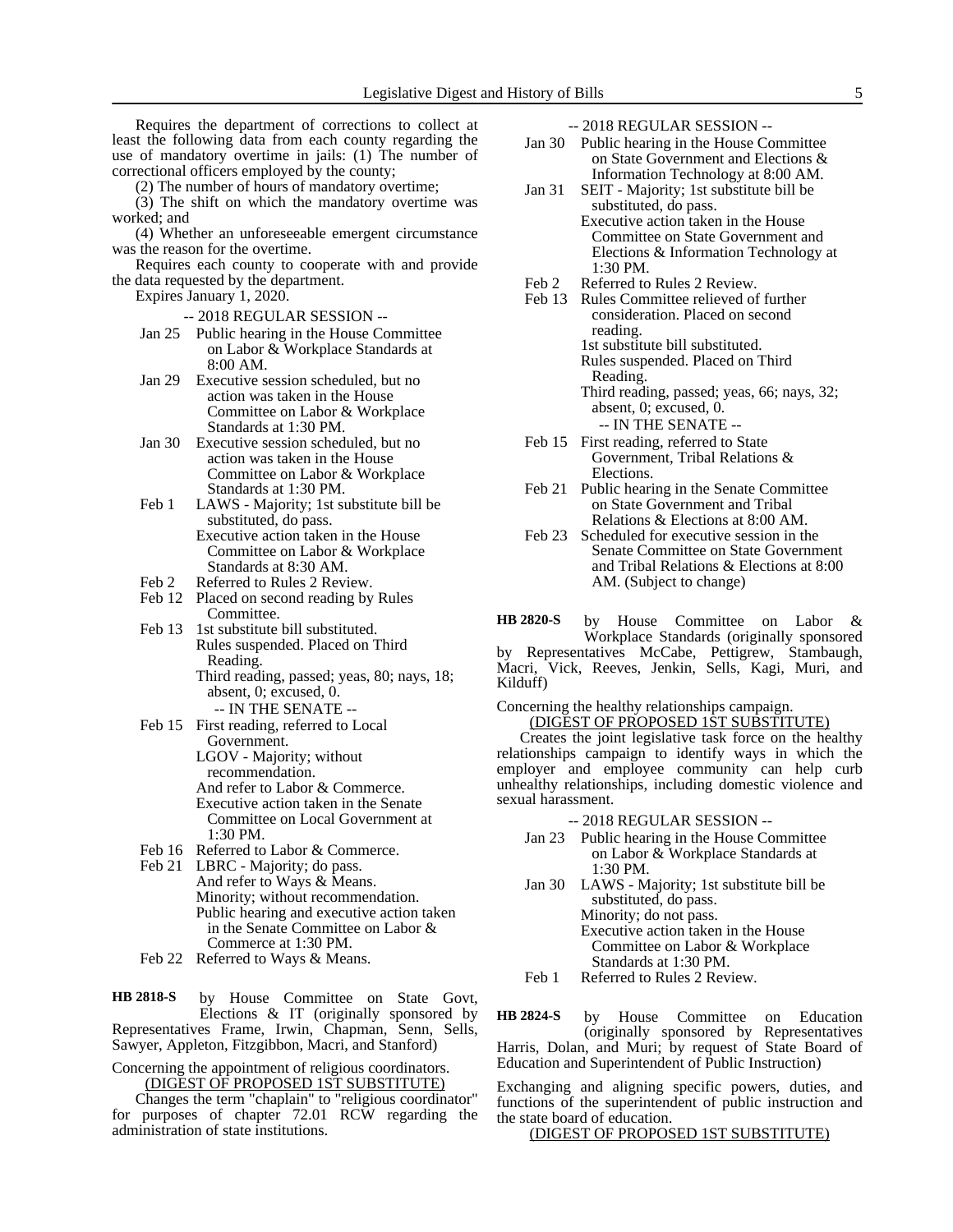Requires the department of corrections to collect at least the following data from each county regarding the use of mandatory overtime in jails: (1) The number of correctional officers employed by the county;

(2) The number of hours of mandatory overtime;

(3) The shift on which the mandatory overtime was worked; and

(4) Whether an unforeseeable emergent circumstance was the reason for the overtime.

Requires each county to cooperate with and provide the data requested by the department.

Expires January 1, 2020.

- -- 2018 REGULAR SESSION --
- Jan 25 Public hearing in the House Committee on Labor & Workplace Standards at 8:00 AM.
- Jan 29 Executive session scheduled, but no action was taken in the House Committee on Labor & Workplace Standards at 1:30 PM.
- Jan 30 Executive session scheduled, but no action was taken in the House Committee on Labor & Workplace Standards at 1:30 PM.
- Feb 1 LAWS Majority; 1st substitute bill be substituted, do pass. Executive action taken in the House Committee on Labor & Workplace Standards at 8:30 AM.
- Feb 2 Referred to Rules 2 Review.
- Feb 12 Placed on second reading by Rules Committee.
- Feb 13 1st substitute bill substituted. Rules suspended. Placed on Third Reading. Third reading, passed; yeas, 80; nays, 18; absent, 0; excused, 0.
	- -- IN THE SENATE --
- Feb 15 First reading, referred to Local Government. LGOV - Majority; without recommendation. And refer to Labor & Commerce. Executive action taken in the Senate Committee on Local Government at 1:30 PM.
- Feb 16 Referred to Labor & Commerce.
- Feb 21 LBRC Majority; do pass. And refer to Ways & Means. Minority; without recommendation. Public hearing and executive action taken in the Senate Committee on Labor & Commerce at 1:30 PM.
- Feb 22 Referred to Ways & Means.

by House Committee on State Govt, Elections & IT (originally sponsored by Representatives Frame, Irwin, Chapman, Senn, Sells, Sawyer, Appleton, Fitzgibbon, Macri, and Stanford) **HB 2818-S**

Concerning the appointment of religious coordinators. (DIGEST OF PROPOSED 1ST SUBSTITUTE)

Changes the term "chaplain" to "religious coordinator" for purposes of chapter 72.01 RCW regarding the administration of state institutions.

-- 2018 REGULAR SESSION --

- Jan 30 Public hearing in the House Committee on State Government and Elections & Information Technology at 8:00 AM.
- Jan 31 SEIT Majority; 1st substitute bill be substituted, do pass. Executive action taken in the House Committee on State Government and Elections & Information Technology at 1:30 PM.
- Feb 2 Referred to Rules 2 Review.
- Feb 13 Rules Committee relieved of further consideration. Placed on second reading. 1st substitute bill substituted. Rules suspended. Placed on Third
	- Reading. Third reading, passed; yeas, 66; nays, 32; absent, 0; excused, 0. -- IN THE SENATE --
- Feb 15 First reading, referred to State Government, Tribal Relations & Elections.
- Feb 21 Public hearing in the Senate Committee on State Government and Tribal Relations & Elections at 8:00 AM.
- Feb 23 Scheduled for executive session in the Senate Committee on State Government and Tribal Relations & Elections at 8:00 AM. (Subject to change)

by House Committee on Labor & Workplace Standards (originally sponsored by Representatives McCabe, Pettigrew, Stambaugh, Macri, Vick, Reeves, Jenkin, Sells, Kagi, Muri, and Kilduff) **HB 2820-S**

Concerning the healthy relationships campaign.

(DIGEST OF PROPOSED 1ST SUBSTITUTE)

Creates the joint legislative task force on the healthy relationships campaign to identify ways in which the employer and employee community can help curb unhealthy relationships, including domestic violence and sexual harassment.

- -- 2018 REGULAR SESSION --
- Jan 23 Public hearing in the House Committee on Labor & Workplace Standards at 1:30 PM.
- Jan 30 LAWS Majority; 1st substitute bill be substituted, do pass. Minority; do not pass. Executive action taken in the House Committee on Labor & Workplace Standards at 1:30 PM.
- Feb 1 Referred to Rules 2 Review.

by House Committee on Education (originally sponsored by Representatives Harris, Dolan, and Muri; by request of State Board of Education and Superintendent of Public Instruction) **HB 2824-S**

Exchanging and aligning specific powers, duties, and functions of the superintendent of public instruction and the state board of education.

(DIGEST OF PROPOSED 1ST SUBSTITUTE)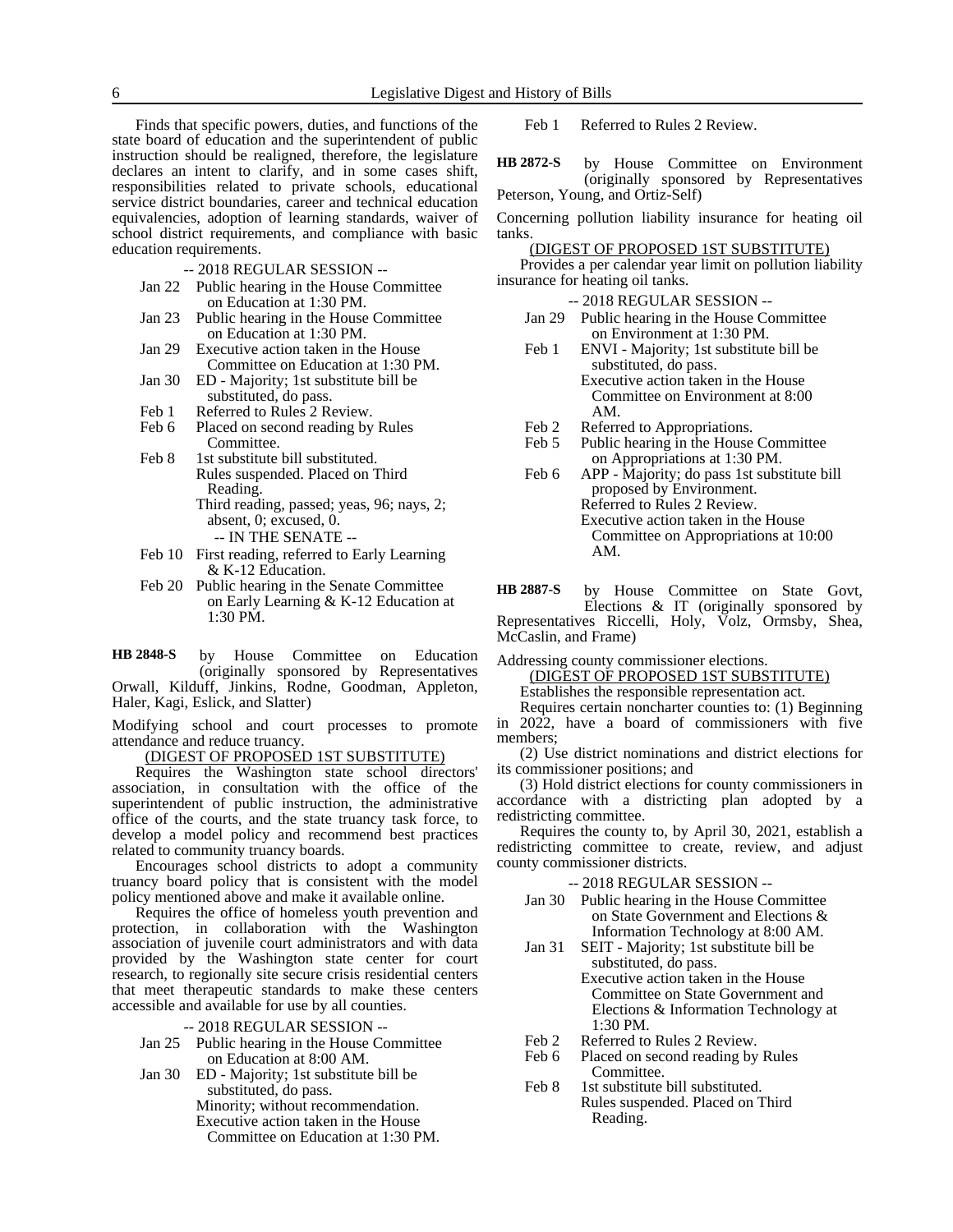Finds that specific powers, duties, and functions of the state board of education and the superintendent of public instruction should be realigned, therefore, the legislature declares an intent to clarify, and in some cases shift, responsibilities related to private schools, educational service district boundaries, career and technical education equivalencies, adoption of learning standards, waiver of school district requirements, and compliance with basic education requirements.

- -- 2018 REGULAR SESSION --
- Jan 22 Public hearing in the House Committee on Education at 1:30 PM.
- Jan 23 Public hearing in the House Committee on Education at 1:30 PM.
- Jan 29 Executive action taken in the House Committee on Education at 1:30 PM.
- Jan 30 ED Majority; 1st substitute bill be substituted, do pass.
- 
- Feb 1 Referred to Rules 2 Review.<br>Feb 6 Placed on second reading by Placed on second reading by Rules Committee.
- Feb 8 1st substitute bill substituted.
	- Rules suspended. Placed on Third Reading.
		- Third reading, passed; yeas, 96; nays, 2; absent, 0; excused, 0.
			- -- IN THE SENATE --
- Feb 10 First reading, referred to Early Learning & K-12 Education.
- Feb 20 Public hearing in the Senate Committee on Early Learning & K-12 Education at 1:30 PM.

by House Committee on Education (originally sponsored by Representatives Orwall, Kilduff, Jinkins, Rodne, Goodman, Appleton, Haler, Kagi, Eslick, and Slatter) **HB 2848-S**

Modifying school and court processes to promote attendance and reduce truancy.

(DIGEST OF PROPOSED 1ST SUBSTITUTE)

Requires the Washington state school directors' association, in consultation with the office of the superintendent of public instruction, the administrative office of the courts, and the state truancy task force, to develop a model policy and recommend best practices related to community truancy boards.

Encourages school districts to adopt a community truancy board policy that is consistent with the model policy mentioned above and make it available online.

Requires the office of homeless youth prevention and protection, in collaboration with the Washington association of juvenile court administrators and with data provided by the Washington state center for court research, to regionally site secure crisis residential centers that meet therapeutic standards to make these centers accessible and available for use by all counties.

#### -- 2018 REGULAR SESSION --

- Jan 25 Public hearing in the House Committee on Education at 8:00 AM.
- Jan 30 ED Majority; 1st substitute bill be substituted, do pass. Minority; without recommendation. Executive action taken in the House Committee on Education at 1:30 PM.

Feb 1 Referred to Rules 2 Review.

by House Committee on Environment (originally sponsored by Representatives Peterson, Young, and Ortiz-Self) **HB 2872-S**

Concerning pollution liability insurance for heating oil tanks.

(DIGEST OF PROPOSED 1ST SUBSTITUTE)

Provides a per calendar year limit on pollution liability insurance for heating oil tanks.

- -- 2018 REGULAR SESSION --
- Jan 29 Public hearing in the House Committee on Environment at 1:30 PM.
- Feb 1 ENVI Majority; 1st substitute bill be substituted, do pass. Executive action taken in the House Committee on Environment at 8:00 AM.
- Feb 2 Referred to Appropriations.<br>Feb 5 Public hearing in the House
- Public hearing in the House Committee on Appropriations at 1:30 PM.
- Feb 6 APP Majority; do pass 1st substitute bill proposed by Environment. Referred to Rules 2 Review. Executive action taken in the House Committee on Appropriations at 10:00 AM.

by House Committee on State Govt, Elections & IT (originally sponsored by Representatives Riccelli, Holy, Volz, Ormsby, Shea, McCaslin, and Frame) **HB 2887-S**

Addressing county commissioner elections.

(DIGEST OF PROPOSED 1ST SUBSTITUTE)

Establishes the responsible representation act.

Requires certain noncharter counties to: (1) Beginning in 2022, have a board of commissioners with five members;

(2) Use district nominations and district elections for its commissioner positions; and

(3) Hold district elections for county commissioners in accordance with a districting plan adopted by a redistricting committee.

Requires the county to, by April 30, 2021, establish a redistricting committee to create, review, and adjust county commissioner districts.

- Jan 30 Public hearing in the House Committee on State Government and Elections & Information Technology at 8:00 AM.
- Jan 31 SEIT Majority; 1st substitute bill be substituted, do pass. Executive action taken in the House Committee on State Government and Elections & Information Technology at
- 1:30 PM. Feb 2 Referred to Rules 2 Review.
- Feb 6 Placed on second reading by Rules Committee.
- Feb 8 1st substitute bill substituted. Rules suspended. Placed on Third Reading.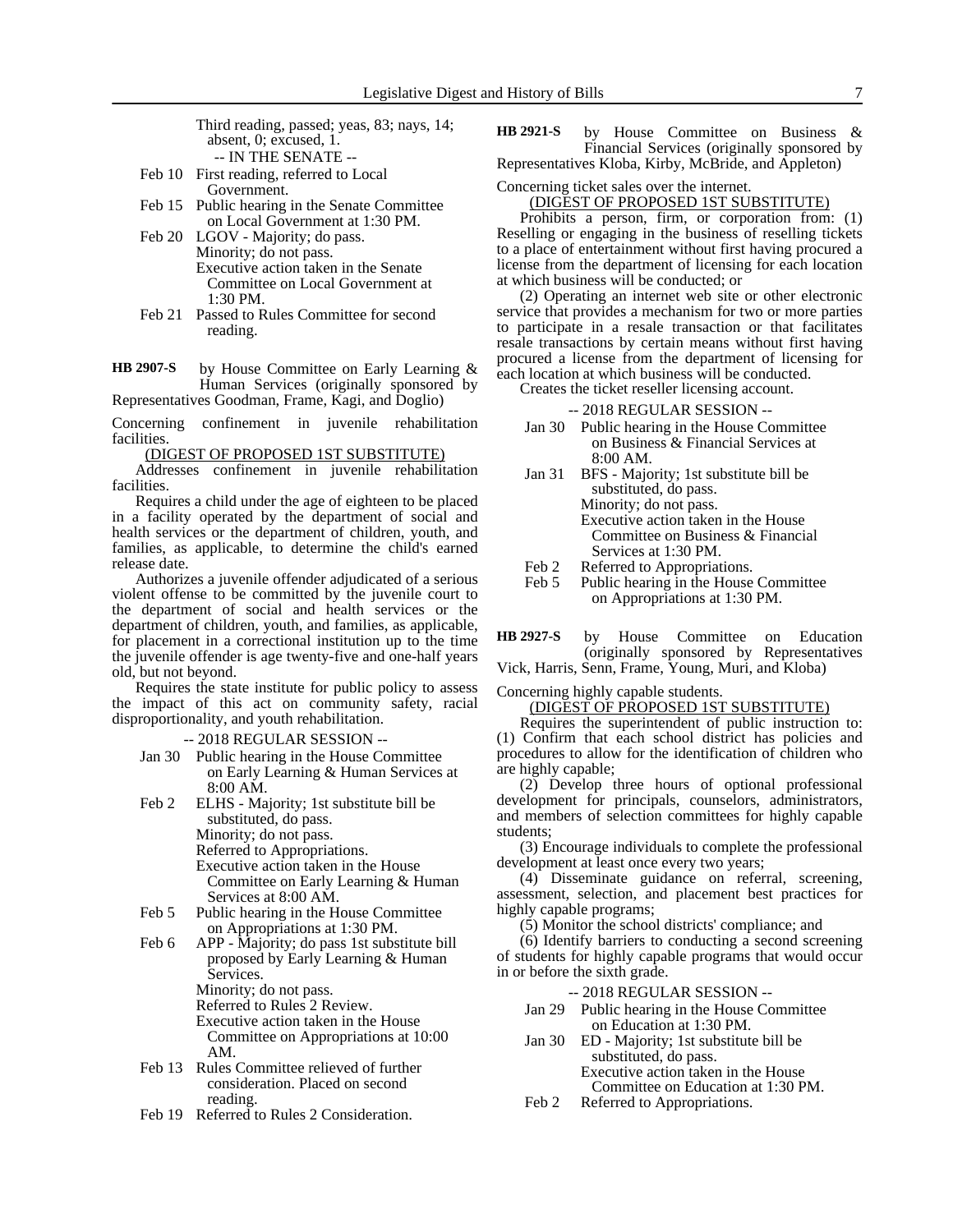Third reading, passed; yeas, 83; nays, 14; absent, 0; excused, 1. -- IN THE SENATE --

- Feb 10 First reading, referred to Local Government.
- Feb 15 Public hearing in the Senate Committee on Local Government at 1:30 PM.
- Feb 20 LGOV Majority; do pass. Minority; do not pass. Executive action taken in the Senate Committee on Local Government at 1:30 PM.
- Feb 21 Passed to Rules Committee for second reading.
- by House Committee on Early Learning & Human Services (originally sponsored by Representatives Goodman, Frame, Kagi, and Doglio) **HB 2907-S**

Concerning confinement in juvenile rehabilitation facilities.

(DIGEST OF PROPOSED 1ST SUBSTITUTE)

Addresses confinement in juvenile rehabilitation facilities.

Requires a child under the age of eighteen to be placed in a facility operated by the department of social and health services or the department of children, youth, and families, as applicable, to determine the child's earned release date.

Authorizes a juvenile offender adjudicated of a serious violent offense to be committed by the juvenile court to the department of social and health services or the department of children, youth, and families, as applicable, for placement in a correctional institution up to the time the juvenile offender is age twenty-five and one-half years old, but not beyond.

Requires the state institute for public policy to assess the impact of this act on community safety, racial disproportionality, and youth rehabilitation.

-- 2018 REGULAR SESSION --

- Jan 30 Public hearing in the House Committee on Early Learning & Human Services at 8:00 AM.
- Feb 2 ELHS Majority; 1st substitute bill be substituted, do pass. Minority; do not pass. Referred to Appropriations. Executive action taken in the House Committee on Early Learning & Human
- Services at 8:00 AM. Feb 5 Public hearing in the House Committee on Appropriations at 1:30 PM.
- Feb 6 APP Majority; do pass 1st substitute bill proposed by Early Learning & Human Services. Minority; do not pass. Referred to Rules 2 Review.

Executive action taken in the House Committee on Appropriations at 10:00 AM.

- Feb 13 Rules Committee relieved of further consideration. Placed on second reading.
- Feb 19 Referred to Rules 2 Consideration.

by House Committee on Business & Financial Services (originally sponsored by Representatives Kloba, Kirby, McBride, and Appleton) **HB 2921-S**

Concerning ticket sales over the internet.

(DIGEST OF PROPOSED 1ST SUBSTITUTE)

Prohibits a person, firm, or corporation from: (1) Reselling or engaging in the business of reselling tickets to a place of entertainment without first having procured a license from the department of licensing for each location at which business will be conducted; or

(2) Operating an internet web site or other electronic service that provides a mechanism for two or more parties to participate in a resale transaction or that facilitates resale transactions by certain means without first having procured a license from the department of licensing for each location at which business will be conducted.

Creates the ticket reseller licensing account.

-- 2018 REGULAR SESSION --

- Jan 30 Public hearing in the House Committee on Business & Financial Services at 8:00 AM.
- Jan 31 BFS Majority; 1st substitute bill be substituted, do pass. Minority; do not pass. Executive action taken in the House Committee on Business & Financial Services at 1:30 PM.
- 
- Feb 2 Referred to Appropriations.<br>Feb 5 Public hearing in the House Public hearing in the House Committee on Appropriations at 1:30 PM.
- by House Committee on Education (originally sponsored by Representatives **HB 2927-S**

Vick, Harris, Senn, Frame, Young, Muri, and Kloba)

Concerning highly capable students.

(DIGEST OF PROPOSED 1ST SUBSTITUTE)

Requires the superintendent of public instruction to: (1) Confirm that each school district has policies and procedures to allow for the identification of children who are highly capable;

(2) Develop three hours of optional professional development for principals, counselors, administrators, and members of selection committees for highly capable students;

(3) Encourage individuals to complete the professional development at least once every two years;

(4) Disseminate guidance on referral, screening, assessment, selection, and placement best practices for highly capable programs;

(5) Monitor the school districts' compliance; and

(6) Identify barriers to conducting a second screening of students for highly capable programs that would occur in or before the sixth grade.

- -- 2018 REGULAR SESSION --
- Jan 29 Public hearing in the House Committee on Education at 1:30 PM.
- Jan 30 ED Majority; 1st substitute bill be substituted, do pass. Executive action taken in the House Committee on Education at 1:30 PM.
- Feb 2 Referred to Appropriations.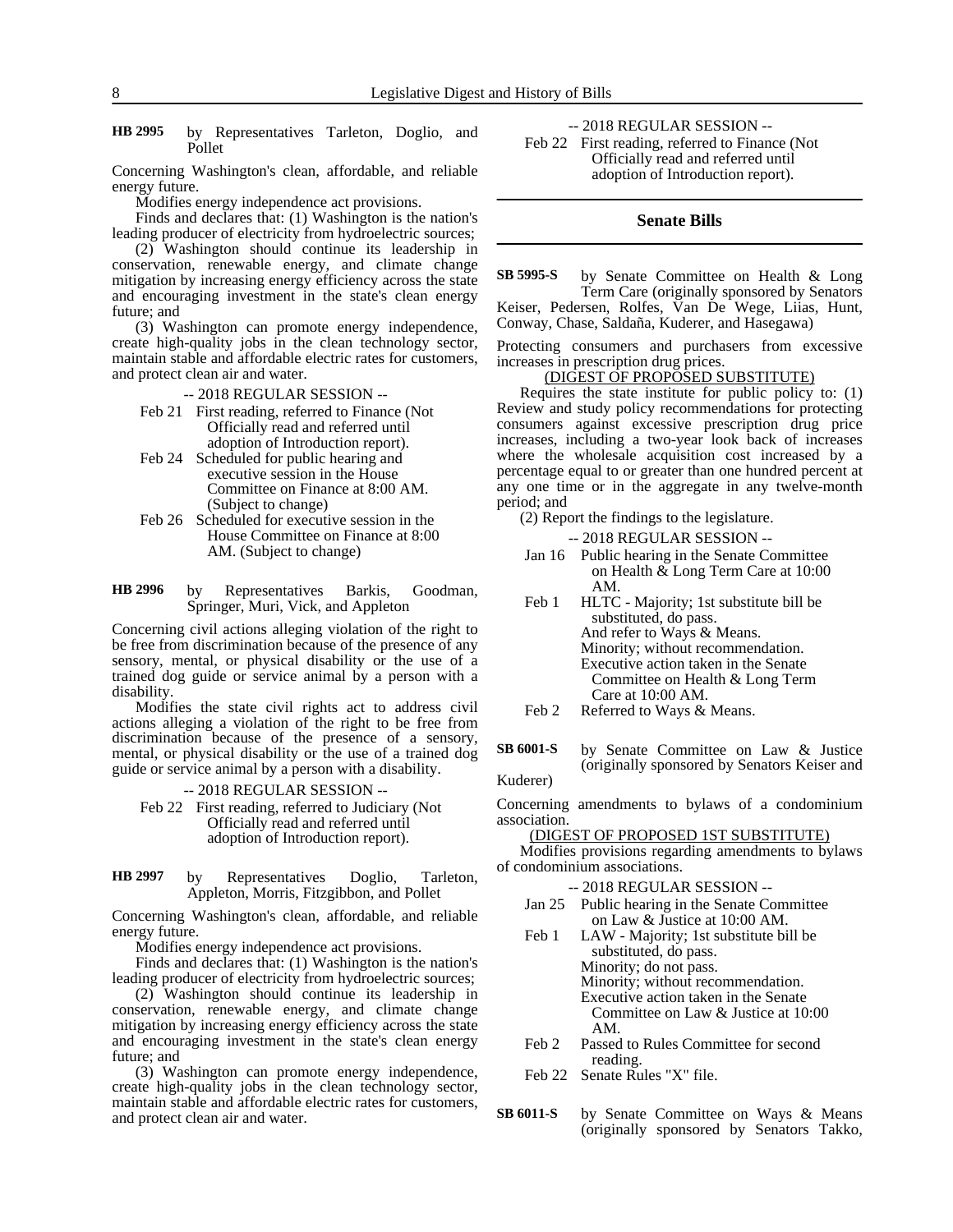by Representatives Tarleton, Doglio, and Pollet **HB 2995**

Concerning Washington's clean, affordable, and reliable energy future.

Modifies energy independence act provisions.

Finds and declares that: (1) Washington is the nation's leading producer of electricity from hydroelectric sources;

(2) Washington should continue its leadership in conservation, renewable energy, and climate change mitigation by increasing energy efficiency across the state and encouraging investment in the state's clean energy future; and

(3) Washington can promote energy independence, create high-quality jobs in the clean technology sector, maintain stable and affordable electric rates for customers, and protect clean air and water.

-- 2018 REGULAR SESSION --

- Feb 21 First reading, referred to Finance (Not Officially read and referred until adoption of Introduction report).
- Feb 24 Scheduled for public hearing and executive session in the House Committee on Finance at 8:00 AM. (Subject to change)
- Feb 26 Scheduled for executive session in the House Committee on Finance at 8:00 AM. (Subject to change)
- by Representatives Barkis, Goodman, Springer, Muri, Vick, and Appleton **HB 2996**

Concerning civil actions alleging violation of the right to be free from discrimination because of the presence of any sensory, mental, or physical disability or the use of a trained dog guide or service animal by a person with a disability.

Modifies the state civil rights act to address civil actions alleging a violation of the right to be free from discrimination because of the presence of a sensory, mental, or physical disability or the use of a trained dog guide or service animal by a person with a disability.

-- 2018 REGULAR SESSION -- Feb 22 First reading, referred to Judiciary (Not Officially read and referred until adoption of Introduction report).

#### by Representatives Doglio, Tarleton, Appleton, Morris, Fitzgibbon, and Pollet **HB 2997**

Concerning Washington's clean, affordable, and reliable energy future.

Modifies energy independence act provisions.

Finds and declares that: (1) Washington is the nation's leading producer of electricity from hydroelectric sources;

(2) Washington should continue its leadership in conservation, renewable energy, and climate change mitigation by increasing energy efficiency across the state and encouraging investment in the state's clean energy future; and

(3) Washington can promote energy independence, create high-quality jobs in the clean technology sector, maintain stable and affordable electric rates for customers, and protect clean air and water.

-- 2018 REGULAR SESSION -- Feb 22 First reading, referred to Finance (Not Officially read and referred until adoption of Introduction report).

### **Senate Bills**

by Senate Committee on Health & Long Term Care (originally sponsored by Senators Keiser, Pedersen, Rolfes, Van De Wege, Liias, Hunt, Conway, Chase, Saldaña, Kuderer, and Hasegawa) **SB 5995-S**

Protecting consumers and purchasers from excessive increases in prescription drug prices.

### (DIGEST OF PROPOSED SUBSTITUTE)

Requires the state institute for public policy to: (1) Review and study policy recommendations for protecting consumers against excessive prescription drug price increases, including a two-year look back of increases where the wholesale acquisition cost increased by a percentage equal to or greater than one hundred percent at any one time or in the aggregate in any twelve-month period; and

(2) Report the findings to the legislature.

-- 2018 REGULAR SESSION --

- Jan 16 Public hearing in the Senate Committee on Health & Long Term Care at 10:00 AM.
- Feb 1 HLTC Majority; 1st substitute bill be substituted, do pass. And refer to Ways & Means. Minority; without recommendation. Executive action taken in the Senate Committee on Health & Long Term Care at 10:00 AM.
- Feb 2 Referred to Ways & Means.
- by Senate Committee on Law & Justice (originally sponsored by Senators Keiser and **SB 6001-S**

Kuderer)

Concerning amendments to bylaws of a condominium association.

(DIGEST OF PROPOSED 1ST SUBSTITUTE)

Modifies provisions regarding amendments to bylaws of condominium associations.

- Jan 25 Public hearing in the Senate Committee on Law & Justice at 10:00 AM.
- Feb 1 LAW Majority; 1st substitute bill be substituted, do pass. Minority; do not pass. Minority; without recommendation. Executive action taken in the Senate Committee on Law & Justice at 10:00 AM.
- Feb 2 Passed to Rules Committee for second reading.
- Feb 22 Senate Rules "X" file.
- by Senate Committee on Ways & Means (originally sponsored by Senators Takko, **SB 6011-S**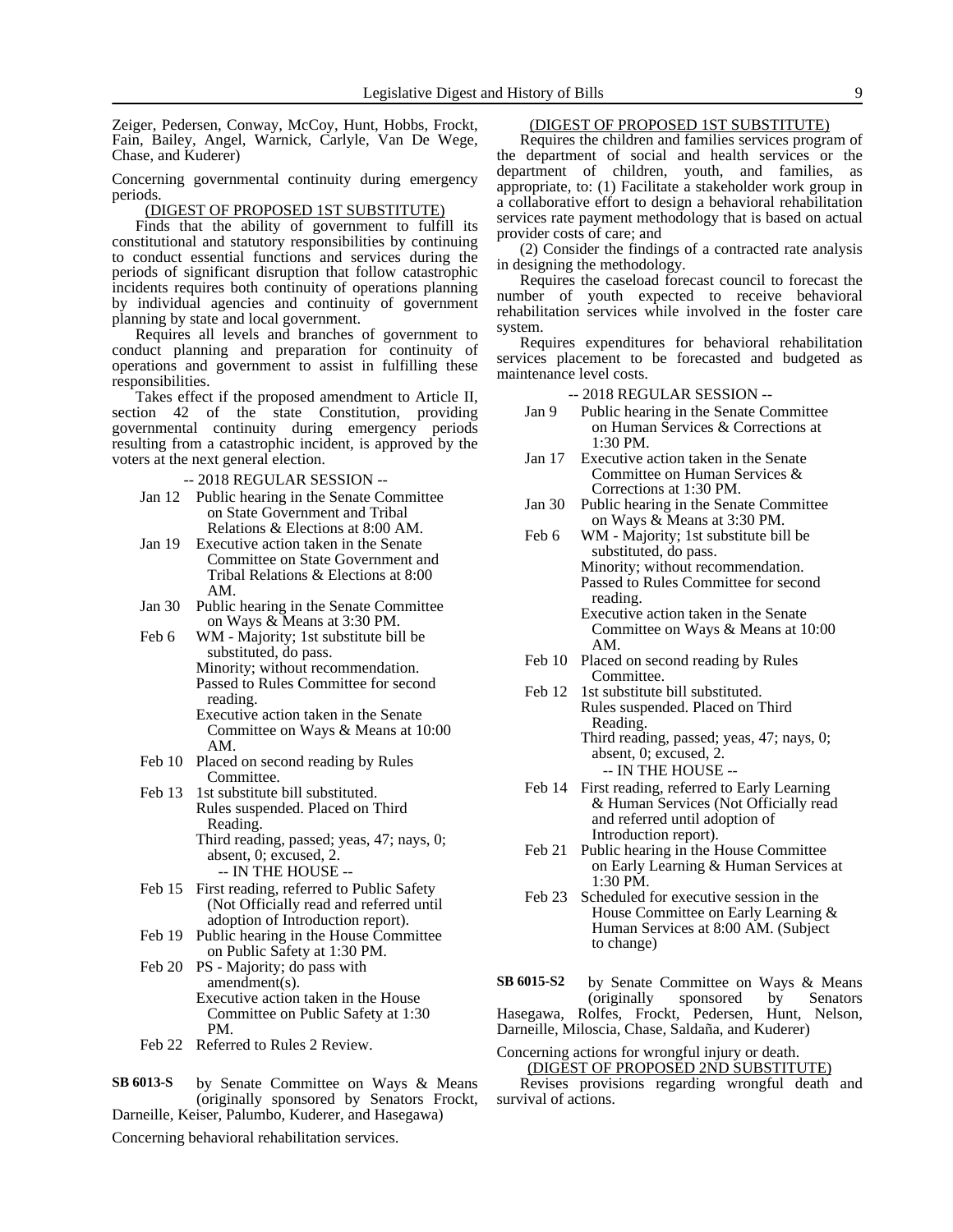Zeiger, Pedersen, Conway, McCoy, Hunt, Hobbs, Frockt, Fain, Bailey, Angel, Warnick, Carlyle, Van De Wege, Chase, and Kuderer)

Concerning governmental continuity during emergency periods.

#### (DIGEST OF PROPOSED 1ST SUBSTITUTE)

Finds that the ability of government to fulfill its constitutional and statutory responsibilities by continuing to conduct essential functions and services during the periods of significant disruption that follow catastrophic incidents requires both continuity of operations planning by individual agencies and continuity of government planning by state and local government.

Requires all levels and branches of government to conduct planning and preparation for continuity of operations and government to assist in fulfilling these responsibilities.

Takes effect if the proposed amendment to Article II, section 42 of the state Constitution, providing governmental continuity during emergency periods resulting from a catastrophic incident, is approved by the voters at the next general election.

- -- 2018 REGULAR SESSION --
- Jan 12 Public hearing in the Senate Committee on State Government and Tribal Relations & Elections at 8:00 AM.
- Jan 19 Executive action taken in the Senate Committee on State Government and Tribal Relations & Elections at 8:00 AM.
- Jan 30 Public hearing in the Senate Committee on Ways & Means at 3:30 PM.
- Feb 6 WM Majority; 1st substitute bill be substituted, do pass. Minority; without recommendation. Passed to Rules Committee for second reading.
	- Executive action taken in the Senate Committee on Ways & Means at 10:00 AM.
- Feb 10 Placed on second reading by Rules Committee.
- Feb 13 1st substitute bill substituted. Rules suspended. Placed on Third Reading. Third reading, passed; yeas, 47; nays, 0; absent, 0; excused, 2.
- -- IN THE HOUSE -- Feb 15 First reading, referred to Public Safety (Not Officially read and referred until adoption of Introduction report).
- Feb 19 Public hearing in the House Committee on Public Safety at 1:30 PM.
- Feb 20 PS Majority; do pass with amendment(s). Executive action taken in the House Committee on Public Safety at 1:30 PM.
- Feb 22 Referred to Rules 2 Review.
- by Senate Committee on Ways & Means (originally sponsored by Senators Frockt, Darneille, Keiser, Palumbo, Kuderer, and Hasegawa) **SB 6013-S**

### Concerning behavioral rehabilitation services.

## (DIGEST OF PROPOSED 1ST SUBSTITUTE)

Requires the children and families services program of the department of social and health services or the department of children, youth, and families, as appropriate, to: (1) Facilitate a stakeholder work group in a collaborative effort to design a behavioral rehabilitation services rate payment methodology that is based on actual provider costs of care; and

(2) Consider the findings of a contracted rate analysis in designing the methodology.

Requires the caseload forecast council to forecast the number of youth expected to receive behavioral rehabilitation services while involved in the foster care system.

Requires expenditures for behavioral rehabilitation services placement to be forecasted and budgeted as maintenance level costs.

-- 2018 REGULAR SESSION --

- Jan 9 Public hearing in the Senate Committee on Human Services & Corrections at 1:30 PM.
- Jan 17 Executive action taken in the Senate Committee on Human Services & Corrections at 1:30 PM.
- Jan 30 Public hearing in the Senate Committee on Ways & Means at 3:30 PM.
- Feb 6 WM Majority; 1st substitute bill be substituted, do pass. Minority; without recommendation. Passed to Rules Committee for second reading. Executive action taken in the Senate

Committee on Ways & Means at 10:00 AM.

- Feb 10 Placed on second reading by Rules Committee.
- Feb 12 1st substitute bill substituted. Rules suspended. Placed on Third Reading. Third reading, passed; yeas, 47; nays, 0; absent, 0; excused, 2.

-- IN THE HOUSE --

- Feb 14 First reading, referred to Early Learning & Human Services (Not Officially read and referred until adoption of Introduction report).
- Feb 21 Public hearing in the House Committee on Early Learning & Human Services at 1:30 PM.
- Feb 23 Scheduled for executive session in the House Committee on Early Learning & Human Services at 8:00 AM. (Subject to change)

by Senate Committee on Ways & Means<br>(originally sponsored by Senators) sponsored Hasegawa, Rolfes, Frockt, Pedersen, Hunt, Nelson, Darneille, Miloscia, Chase, Saldaña, and Kuderer) **SB 6015-S2**

### Concerning actions for wrongful injury or death. (DIGEST OF PROPOSED 2ND SUBSTITUTE)

Revises provisions regarding wrongful death and survival of actions.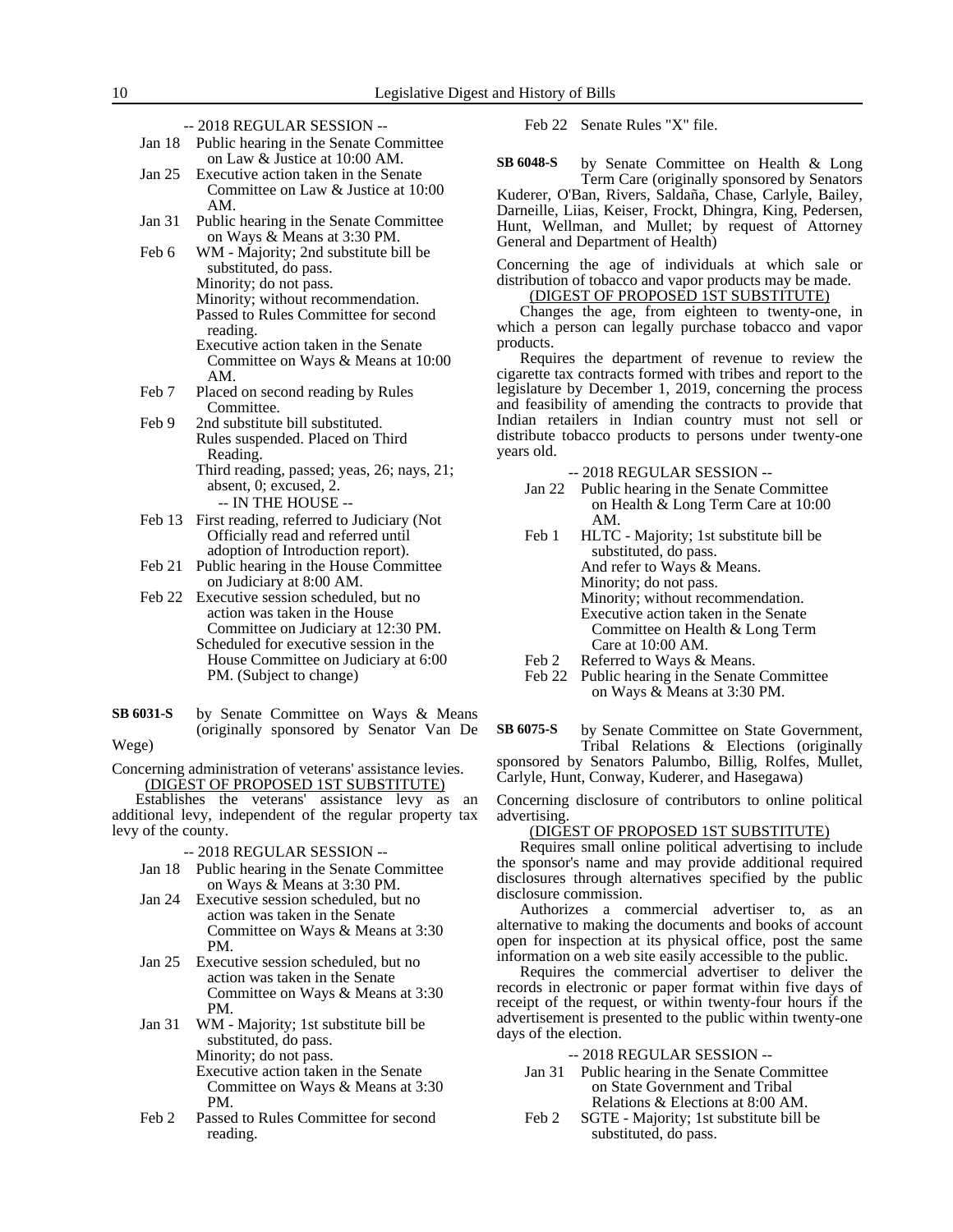| Jan 18 Public hearing in the Senate Committee |
|-----------------------------------------------|
| on Law & Justice at 10:00 AM.                 |

- Jan 25 Executive action taken in the Senate Committee on Law & Justice at 10:00 AM.
- Jan 31 Public hearing in the Senate Committee on Ways & Means at 3:30 PM.
- Feb 6 WM Majority; 2nd substitute bill be substituted, do pass. Minority; do not pass.
	- Minority; without recommendation. Passed to Rules Committee for second reading. Executive action taken in the Senate
	- Committee on Ways & Means at 10:00 AM.
- Feb 7 Placed on second reading by Rules Committee.
- Feb 9 2nd substitute bill substituted. Rules suspended. Placed on Third Reading. Third reading, passed; yeas, 26; nays, 21;
	- absent, 0; excused, 2. -- IN THE HOUSE --
- Feb 13 First reading, referred to Judiciary (Not Officially read and referred until adoption of Introduction report).
- Feb 21 Public hearing in the House Committee on Judiciary at 8:00 AM.
- Feb 22 Executive session scheduled, but no action was taken in the House Committee on Judiciary at 12:30 PM. Scheduled for executive session in the House Committee on Judiciary at 6:00 PM. (Subject to change)
- by Senate Committee on Ways & Means (originally sponsored by Senator Van De **SB 6031-S**
- Wege)

Concerning administration of veterans' assistance levies. (DIGEST OF PROPOSED 1ST SUBSTITUTE)

Establishes the veterans' assistance levy as an additional levy, independent of the regular property tax levy of the county.

-- 2018 REGULAR SESSION --

- Jan 18 Public hearing in the Senate Committee on Ways & Means at 3:30 PM.
- Jan 24 Executive session scheduled, but no action was taken in the Senate Committee on Ways & Means at 3:30 PM.
- Jan 25 Executive session scheduled, but no action was taken in the Senate Committee on Ways & Means at 3:30 PM.
- Jan 31 WM Majority; 1st substitute bill be substituted, do pass. Minority; do not pass. Executive action taken in the Senate Committee on Ways & Means at 3:30 PM.
- Feb 2 Passed to Rules Committee for second reading.

Feb 22 Senate Rules "X" file.

by Senate Committee on Health & Long Term Care (originally sponsored by Senators Kuderer, O'Ban, Rivers, Saldaña, Chase, Carlyle, Bailey, Darneille, Liias, Keiser, Frockt, Dhingra, King, Pedersen, **SB 6048-S**

Hunt, Wellman, and Mullet; by request of Attorney General and Department of Health)

Concerning the age of individuals at which sale or distribution of tobacco and vapor products may be made.

(DIGEST OF PROPOSED 1ST SUBSTITUTE)

Changes the age, from eighteen to twenty-one, in which a person can legally purchase tobacco and vapor products.

Requires the department of revenue to review the cigarette tax contracts formed with tribes and report to the legislature by December 1, 2019, concerning the process and feasibility of amending the contracts to provide that Indian retailers in Indian country must not sell or distribute tobacco products to persons under twenty-one years old.

-- 2018 REGULAR SESSION --

- Jan 22 Public hearing in the Senate Committee on Health & Long Term Care at 10:00 AM.
- Feb 1 HLTC Majority; 1st substitute bill be substituted, do pass. And refer to Ways & Means. Minority; do not pass. Minority; without recommendation. Executive action taken in the Senate Committee on Health & Long Term Care at 10:00 AM.
- Feb 2 Referred to Ways & Means.
- Feb 22 Public hearing in the Senate Committee on Ways & Means at 3:30 PM.

by Senate Committee on State Government, Tribal Relations & Elections (originally **SB 6075-S**

sponsored by Senators Palumbo, Billig, Rolfes, Mullet, Carlyle, Hunt, Conway, Kuderer, and Hasegawa)

Concerning disclosure of contributors to online political advertising.

#### (DIGEST OF PROPOSED 1ST SUBSTITUTE)

Requires small online political advertising to include the sponsor's name and may provide additional required disclosures through alternatives specified by the public disclosure commission.

Authorizes a commercial advertiser to, as an alternative to making the documents and books of account open for inspection at its physical office, post the same information on a web site easily accessible to the public.

Requires the commercial advertiser to deliver the records in electronic or paper format within five days of receipt of the request, or within twenty-four hours if the advertisement is presented to the public within twenty-one days of the election.

- Jan 31 Public hearing in the Senate Committee on State Government and Tribal Relations & Elections at 8:00 AM.
- Feb 2 SGTE Majority; 1st substitute bill be substituted, do pass.